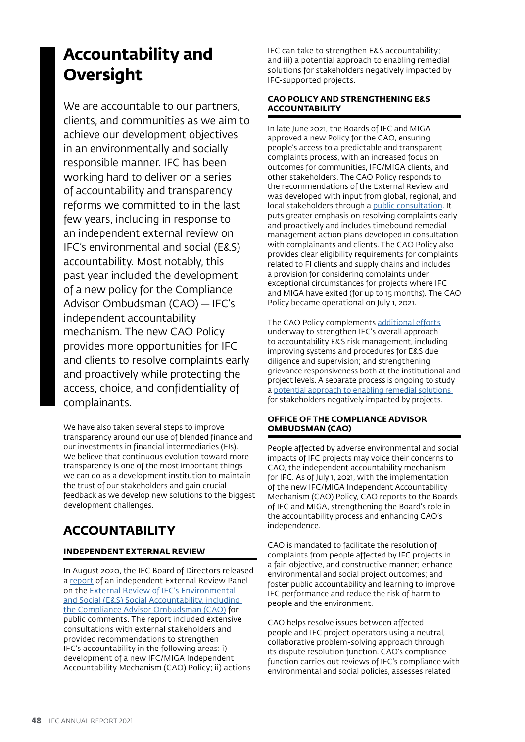# **Accountability and Oversight**

We are accountable to our partners, clients, and communities as we aim to achieve our development objectives in an environmentally and socially responsible manner. IFC has been working hard to deliver on a series of accountability and transparency reforms we committed to in the last few years, including in response to an independent external review on IFC's environmental and social (E&S) accountability. Most notably, this past year included the development of a new policy for the Compliance Advisor Ombudsman (CAO) — IFC's independent accountability mechanism. The new CAO Policy provides more opportunities for IFC and clients to resolve complaints early and proactively while protecting the access, choice, and confidentiality of complainants.

We have also taken several steps to improve transparency around our use of blended finance and our investments in financial intermediaries (FIs). We believe that continuous evolution toward more transparency is one of the most important things we can do as a development institution to maintain the trust of our stakeholders and gain crucial feedback as we develop new solutions to the biggest development challenges.

## **ACCOUNTABILITY**

#### **INDEPENDENT EXTERNAL REVIEW**

In August 2020, the IFC Board of Directors released a [report](https://thedocs.worldbank.org/en/doc/578881597160949764-0330022020/original/ExternalReviewofIFCMIGAESAccountabilitydisclosure.pdf) of an independent External Review Panel on the [External Review of IFC's Environmental](https://www.worldbank.org/en/about/leadership/brief/external-review-of-ifc-miga-es-accountability)  [and Social \(E&S\) Social Accountability, including](https://www.worldbank.org/en/about/leadership/brief/external-review-of-ifc-miga-es-accountability)  [the Compliance Advisor Ombudsman \(CAO\)](https://www.worldbank.org/en/about/leadership/brief/external-review-of-ifc-miga-es-accountability) for public comments. The report included extensive consultations with external stakeholders and provided recommendations to strengthen IFC's accountability in the following areas: i) development of a new IFC/MIGA Independent Accountability Mechanism (CAO) Policy; ii) actions

IFC can take to strengthen E&S accountability; and iii) a potential approach to enabling remedial solutions for stakeholders negatively impacted by IFC-supported projects.

#### **CAO POLICY AND STRENGTHENING E&S ACCOUNTABILITY**

In late June 2021, the Boards of IFC and MIGA approved a new Policy for the CAO, ensuring people's access to a predictable and transparent complaints process, with an increased focus on outcomes for communities, IFC/MIGA clients, and other stakeholders. The CAO Policy responds to the recommendations of the External Review and was developed with input from global, regional, and local stakeholders through a [public consultation.](https://www.ifc.org/wps/wcm/connect/corp_ext_content/ifc_external_corporate_site/cao-policy-consultation) It puts greater emphasis on resolving complaints early and proactively and includes timebound remedial management action plans developed in consultation with complainants and clients. The CAO Policy also provides clear eligibility requirements for complaints related to FI clients and supply chains and includes a provision for considering complaints under exceptional circumstances for projects where IFC and MIGA have exited (for up to 15 months). The CAO Policy became operational on July 1, 2021.

The CAO Policy complements [additional efforts](https://www.ifc.org/wps/wcm/connect/aa6935a6-e1f6-46cf-9b59-29c5cc291990/202104-IFC-MIGA-Non-Policy-Actions-Update.pdf?MOD=AJPERES&CVID=nyz11x6) underway to strengthen IFC's overall approach to accountability E&S risk management, including improving systems and procedures for E&S due diligence and supervision; and strengthening grievance responsiveness both at the institutional and project levels. A separate process is ongoing to study a potential approach to enabling remedial solutions for stakeholders negatively impacted by projects.

#### **OFFICE OF THE COMPLIANCE ADVISOR OMBUDSMAN (CAO)**

People affected by adverse environmental and social impacts of IFC projects may voice their concerns to CAO, the independent accountability mechanism for IFC. As of July 1, 2021, with the implementation of the new IFC/MIGA Independent Accountability Mechanism (CAO) Policy, CAO reports to the Boards of IFC and MIGA, strengthening the Board's role in the accountability process and enhancing CAO's independence.

CAO is mandated to facilitate the resolution of complaints from people affected by IFC projects in a fair, objective, and constructive manner; enhance environmental and social project outcomes; and foster public accountability and learning to improve IFC performance and reduce the risk of harm to people and the environment.

CAO helps resolve issues between affected people and IFC project operators using a neutral, collaborative problem-solving approach through its dispute resolution function. CAO's compliance function carries out reviews of IFC's compliance with environmental and social policies, assesses related